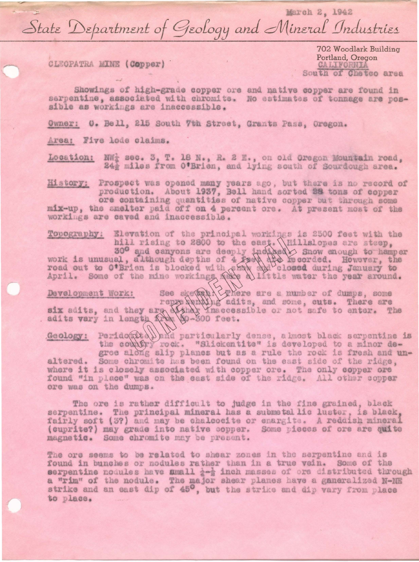March 2, 1942 State Department of Geology and Mineral Industries

CLEOPATRA MINE (Copper)

702 Woodlark Building Portland, Oregon CALIFORNIA South of Chetco area

Showings of high-grade copper ore and native copper are found in serpentine, associated with chromits. No estimates of tonnage are possible as workings are inaccessible.

Owner: O. Bell, 215 South 7th Street, Grants Pass. Oregon.

Area: Five lode claims.

Location: NW<sub>2</sub> sec. 3, T. 18 N., R. 2 E., on old Oregon Mountain road, 24} miles from O'Brien, and lying south of Sourdough area.

History: Prospect was opened many years ago, but there is no record of production. About 1937, Bell hand sorted 28 tons of copper

ore containing quantities of native copper but through some mix-up, the smelter paid off on 4 percent ore. At present most of the workings are caved and inaccessible.

Topography: Elevation of the principal workings is 2500 feet with the work is unusual, although depths of 4 feet, (Hillslopes are steep, 30° and canyons are deeply inclued) Snow enough to hamper work is unusual, although depths of 4 feed dream and a feed and to over, the road out to O'Brien

Development Work: See skevet Exhere are a number of dumps, some represented addits, and some, outs. There are six adits, and they are the creative or not safe to enter. The adits vary in length  $\bigotimes_{i=1}^{n}$  ( $\bigotimes_{i=1}^{n$ 

Geology: Perido(at ) and particularly dense, a knost black serpentine is<br>the condity rock. "Slickentite" is developed to a minor de-<br>gree along slip planes but as a rule the rock is fresh and unaltered. Some chromite has been found on the east side of the ridge. where it is closely associated with copper ore. The only copper ore found "in place" was on the east side of the ridge. All other copper ore was on the dumps.

The ore is rather difficult to judge in the fine grained, black serpentine. The principal mineral has a submetallic luster, is black, fairly soft (3?) and may be chalcocite or enargite. A reddish mineral (cuprite?) may grade into native copper. Some pieces of ore are quite magnetic. Some chromite may be present.

The ore seems to be related to shear zones in the serpentine and is found in bunches or nodules rather than in a true vein. Some of the serpentine nodules have small  $\frac{1}{4}$  and masses of ore distributed through a "rim" of the nodule. The major shear planes have a ganeralized N-NE strike and an east dip of 45°, but the strike and dip vary from place to place.